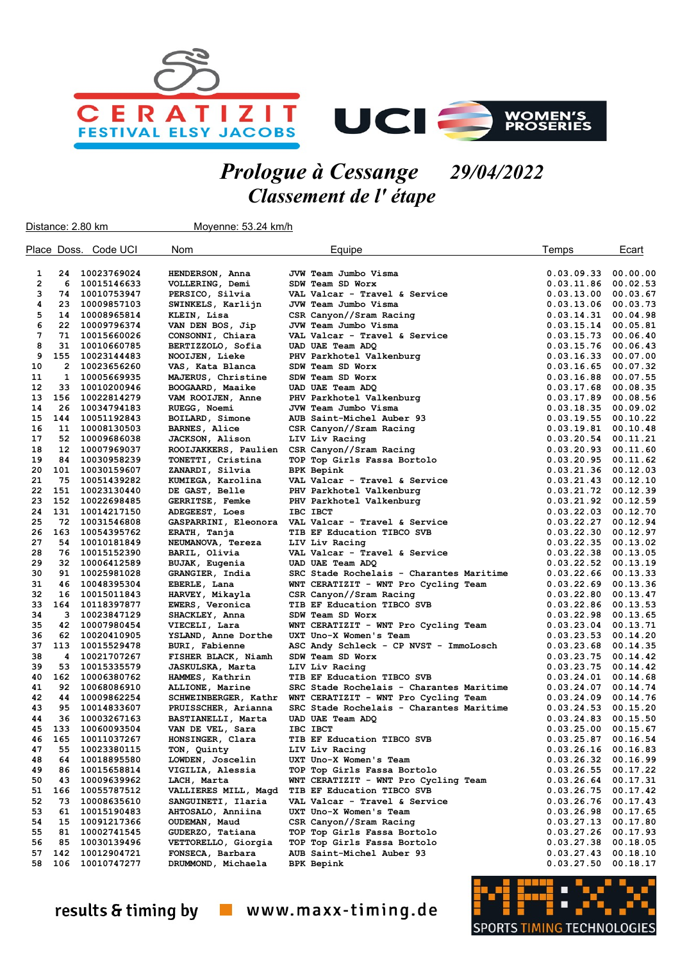



## Prologue à Cessange 29/04/2022 Classement de l' étape

| Distance: 2.80 km            |                |                            | Moyenne: 53.24 km/h                   |                                                                     |                          |                      |
|------------------------------|----------------|----------------------------|---------------------------------------|---------------------------------------------------------------------|--------------------------|----------------------|
|                              |                | Place Doss. Code UCI       | Nom                                   | Equipe                                                              | Temps                    | Ecart                |
|                              | 24             | 10023769024                |                                       | JVW Team Jumbo Visma                                                | 0.03.09.33               | 00.00.00             |
| 1<br>$\overline{\mathbf{2}}$ | 6              |                            | HENDERSON, Anna                       | SDW Team SD Worx                                                    |                          | 00.02.53             |
| 3                            | 74             | 10015146633                | VOLLERING, Demi                       | VAL Valcar - Travel & Service                                       | 0.03.11.86               |                      |
| 4                            | 23             | 10010753947                | PERSICO, Silvia                       |                                                                     | 0.03.13.00               | 00.03.67             |
| 5                            | 14             | 10009857103                | SWINKELS, Karlijn                     | JVW Team Jumbo Visma                                                | 0.03.13.06               | 00.03.73             |
| 6                            | 22             | 10008965814                | KLEIN, Lisa                           | CSR Canyon//Sram Racing                                             | 0.03.14.31               | 00.04.98             |
| 7                            | 71             | 10009796374<br>10015660026 | VAN DEN BOS, Jip                      | JVW Team Jumbo Visma<br>VAL Valcar - Travel & Service               | 0.03.15.14<br>0.03.15.73 | 00.05.81<br>00.06.40 |
| 8                            | 31             | 10010660785                | CONSONNI, Chiara<br>BERTIZZOLO, Sofia | UAD UAE Team ADQ                                                    | 0.03.15.76               | 00.06.43             |
| 9                            | 155            | 10023144483                | NOOIJEN, Lieke                        | PHV Parkhotel Valkenburg                                            | 0.03.16.33               | 00.07.00             |
| 10                           | $\overline{2}$ | 10023656260                | VAS, Kata Blanca                      | SDW Team SD Worx                                                    | 0.03.16.65               | 00.07.32             |
| 11                           | 1              | 10005669935                | MAJERUS, Christine                    | SDW Team SD Worx                                                    | 0.03.16.88               | 00.07.55             |
| 12                           | 33             | 10010200946                | BOOGAARD, Maaike                      | UAD UAE Team ADQ                                                    | 0.03.17.68               | 00.08.35             |
| 13                           | 156            | 10022814279                | VAM ROOIJEN, Anne                     | PHV Parkhotel Valkenburg                                            | 0.03.17.89               | 00.08.56             |
| 14                           | 26             | 10034794183                | RUEGG, Noemi                          | JVW Team Jumbo Visma                                                | 0.03.18.35               | 00.09.02             |
| 15                           | 144            | 10051192843                | BOILARD, Simone                       | AUB Saint-Michel Auber 93                                           | 0.03.19.55               | 00.10.22             |
| 16                           | 11             | 10008130503                | <b>BARNES, Alice</b>                  | CSR Canyon//Sram Racing                                             | 0.03.19.81               | 00.10.48             |
| 17                           | 52             | 10009686038                | JACKSON, Alison                       | LIV Liv Racing                                                      | 0.03.20.54               | 00.11.21             |
| 18                           | 12             | 10007969037                | ROOIJAKKERS, Paulien                  | CSR Canyon//Sram Racing                                             | 0.03.20.93               | 00.11.60             |
| 19                           | 84             | 10030958239                | TONETTI, Cristina                     | TOP Top Girls Fassa Bortolo                                         | 0.03.20.95               | 00.11.62             |
| 20                           | 101            | 10030159607                | ZANARDI, Silvia                       | <b>BPK Bepink</b>                                                   | 0.03.21.36               | 00.12.03             |
| 21                           | 75             | 10051439282                | KUMIEGA, Karolina                     | VAL Valcar - Travel & Service                                       | 0.03.21.43               | 00.12.10             |
| 22                           | 151            | 10023130440                | DE GAST, Belle                        | PHV Parkhotel Valkenburg                                            | 0.03.21.72               | 00.12.39             |
| 23                           | 152            | 10022698485                | GERRITSE, Femke                       | PHV Parkhotel Valkenburg                                            | 0.03.21.92               | 00.12.59             |
| 24                           | 131            | 10014217150                | ADEGEEST, Loes                        | IBC IBCT                                                            | 0.03.22.03               | 00.12.70             |
| 25                           | 72             | 10031546808                | GASPARRINI, Eleonora                  | VAL Valcar - Travel & Service                                       | 0.03.22.27               | 00.12.94             |
| 26                           | 163            | 10054395762                | ERATH, Tanja                          | TIB EF Education TIBCO SVB                                          | 0.03.22.30               | 00.12.97             |
| 27                           | 54             | 10010181849                | NEUMANOVA, Tereza                     | LIV Liv Racing                                                      | 0.03.22.35               | 00.13.02             |
| 28                           | 76             | 10015152390                | BARIL, Olivia                         | VAL Valcar - Travel & Service                                       | 0.03.22.38               | 00.13.05             |
| 29                           | 32             | 10006412589                | BUJAK, Eugenia                        | UAD UAE Team ADQ                                                    | 0.03.22.52               | 00.13.19             |
| 30                           | 91             | 10025981028                | GRANGIER, India                       | SRC Stade Rochelais - Charantes Maritime                            | 0.03.22.66               | 00.13.33             |
| 31                           | 46             | 10048395304                | EBERLE, Lana                          | WNT CERATIZIT - WNT Pro Cycling Team                                | 0.03.22.69               | 00.13.36             |
| 32                           | 16             | 10015011843                | HARVEY, Mikayla                       | CSR Canyon//Sram Racing                                             | 0.03.22.80               | 00.13.47             |
| 33                           | 164            | 10118397877                | EWERS, Veronica                       | TIB EF Education TIBCO SVB                                          | 0.03.22.86               | 00.13.53             |
| 34                           | 3              | 10023847129                | SHACKLEY, Anna                        | SDW Team SD Worx                                                    | 0.03.22.98               | 00.13.65             |
| 35                           | 42             | 10007980454                | VIECELI, Lara                         | WNT CERATIZIT - WNT Pro Cycling Team                                | 0.03.23.04               | 00.13.71             |
| 36                           | 62             | 10020410905                | YSLAND, Anne Dorthe                   | UXT Uno-X Women's Team                                              | 0.03.23.53               | 00.14.20             |
| 37                           | 113            | 10015529478                | BURI, Fabienne                        | ASC Andy Schleck - CP NVST - ImmoLosch                              | 0.03.23.68               | 00.14.35             |
| 38                           | 4              | 10021707267                | FISHER BLACK, Niamh                   | SDW Team SD Worx                                                    | 0.03.23.75               | 00.14.42             |
| 39                           | 53             | 10015335579                | JASKULSKA, Marta                      | LIV Liv Racing                                                      | 0.03.23.75               | 00.14.42             |
| 40                           | 162            | 10006380762                | HAMMES, Kathrin                       | TIB EF Education TIBCO SVB                                          | 0.03.24.01               | 00.14.68             |
| 41                           | 92             | 10068086910                | ALLIONE, Marine                       | SRC Stade Rochelais - Charantes Maritime                            | 0.03.24.07               | 00.14.74             |
| 42                           | 44             | 10009862254                | SCHWEINBERGER, Kathr                  | WNT CERATIZIT - WNT Pro Cycling Team                                | 0.03.24.09               | 00.14.76             |
| 43                           | 95             | 10014833607                | PRUISSCHER, Arianna                   | SRC Stade Rochelais - Charantes Maritime                            | 0.03.24.53               | 00.15.20             |
| 44                           | 36             | 10003267163                | BASTIANELLI, Marta                    | UAD UAE Team ADQ                                                    | 0.03.24.83               | 00.15.50             |
| 45                           | 133            | 10060093504                | VAN DE VEL, Sara                      | IBC IBCT                                                            | 0.03.25.00               | 00.15.67             |
| 46<br>47                     | 165<br>55      | 10011037267                | HONSINGER, Clara                      | TIB EF Education TIBCO SVB                                          | 0.03.25.87<br>0.03.26.16 | 00.16.54<br>00.16.83 |
| 48                           | 64             | 10023380115<br>10018895580 | TON, Quinty<br>LOWDEN, Joscelin       | LIV Liv Racing<br>UXT Uno-X Women's Team                            |                          |                      |
| 49                           |                | 10015658814                |                                       |                                                                     | 0.03.26.32               | 00.16.99             |
| 50                           | 86<br>43       | 10009639962                | VIGILIA, Alessia<br>LACH, Marta       | TOP Top Girls Fassa Bortolo<br>WNT CERATIZIT - WNT Pro Cycling Team | 0.03.26.55<br>0.03.26.64 | 00.17.22<br>00.17.31 |
| 51                           | 166            | 10055787512                | VALLIERES MILL, Magd                  | TIB EF Education TIBCO SVB                                          | 0.03.26.75               | 00.17.42             |
| 52                           | 73             | 10008635610                | SANGUINETI, Ilaria                    | VAL Valcar - Travel & Service                                       | 0.03.26.76               | 00.17.43             |
| 53                           | 61             | 10015190483                | AHTOSALO, Anniina                     | UXT Uno-X Women's Team                                              | 0.03.26.98               | 00.17.65             |
| 54                           | 15             | 10091217366                | OUDEMAN, Maud                         | CSR Canyon//Sram Racing                                             | 0.03.27.13               | 00.17.80             |
| 55                           | 81             | 10002741545                | GUDERZO, Tatiana                      | TOP Top Girls Fassa Bortolo                                         | 0.03.27.26               | 00.17.93             |
| 56                           | 85             | 10030139496                | VETTORELLO, Giorgia                   | TOP Top Girls Fassa Bortolo                                         | 0.03.27.38               | 00.18.05             |
| 57                           | 142            | 10012904721                | FONSECA, Barbara                      | AUB Saint-Michel Auber 93                                           | 0.03.27.43               | 00.18.10             |
| 58                           | 106            | 10010747277                | DRUMMOND, Michaela                    | <b>BPK Bepink</b>                                                   | 0.03.27.50               | 00.18.17             |
|                              |                |                            |                                       |                                                                     |                          |                      |



results & timing by vww.maxx-timing.de